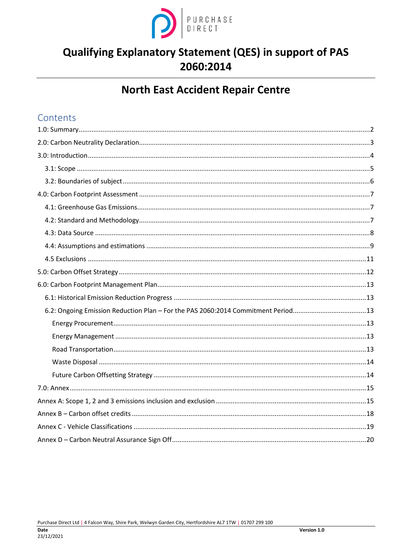

# Qualifying Explanatory Statement (QES) in support of PAS 2060:2014

# **North East Accident Repair Centre**

## Contents

| 6.2: Ongoing Emission Reduction Plan - For the PAS 2060:2014 Commitment Period13 |  |
|----------------------------------------------------------------------------------|--|
|                                                                                  |  |
|                                                                                  |  |
|                                                                                  |  |
|                                                                                  |  |
|                                                                                  |  |
|                                                                                  |  |
|                                                                                  |  |
|                                                                                  |  |
|                                                                                  |  |
|                                                                                  |  |
|                                                                                  |  |

Purchase Direct Ltd | 4 Falcon Way, Shire Park, Welwyn Garden City, Hertfordshire AL7 1TW | 01707 299 100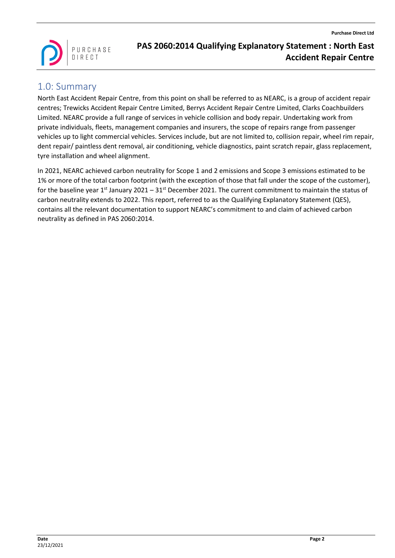

### <span id="page-1-0"></span>1.0: Summary

North East Accident Repair Centre, from this point on shall be referred to as NEARC, is a group of accident repair centres; Trewicks Accident Repair Centre Limited, Berrys Accident Repair Centre Limited, Clarks Coachbuilders Limited. NEARC provide a full range of services in vehicle collision and body repair. Undertaking work from private individuals, fleets, management companies and insurers, the scope of repairs range from passenger vehicles up to light commercial vehicles. Services include, but are not limited to, collision repair, wheel rim repair, dent repair/ paintless dent removal, air conditioning, vehicle diagnostics, paint scratch repair, glass replacement, tyre installation and wheel alignment.

In 2021, NEARC achieved carbon neutrality for Scope 1 and 2 emissions and Scope 3 emissions estimated to be 1% or more of the total carbon footprint (with the exception of those that fall under the scope of the customer), for the baseline year 1<sup>st</sup> January 2021 – 31<sup>st</sup> December 2021. The current commitment to maintain the status of carbon neutrality extends to 2022. This report, referred to as the Qualifying Explanatory Statement (QES), contains all the relevant documentation to support NEARC's commitment to and claim of achieved carbon neutrality as defined in PAS 2060:2014.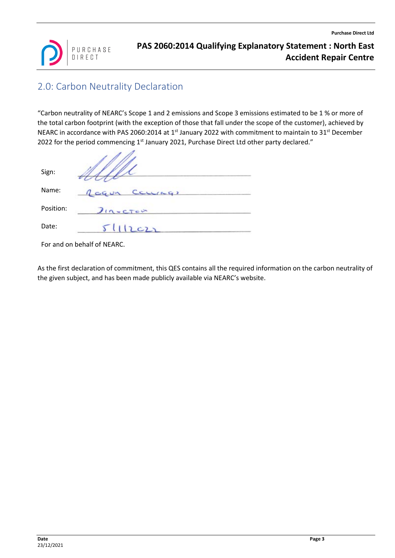

# <span id="page-2-0"></span>2.0: Carbon Neutrality Declaration

"Carbon neutrality of NEARC's Scope 1 and 2 emissions and Scope 3 emissions estimated to be 1 % or more of the total carbon footprint (with the exception of those that fall under the scope of the customer), achieved by NEARC in accordance with PAS 2060:2014 at  $1<sup>st</sup>$  January 2022 with commitment to maintain to 31<sup>st</sup> December 2022 for the period commencing  $1<sup>st</sup>$  January 2021, Purchase Direct Ltd other party declared."

| Sign:     |                     |
|-----------|---------------------|
| Name:     | $C$ curca?<br>CG UN |
| Position: | $\eta$ + $CT$       |
| Date:     | 511222              |

For and on behalf of NEARC.

As the first declaration of commitment, this QES contains all the required information on the carbon neutrality of the given subject, and has been made publicly available via NEARC's website.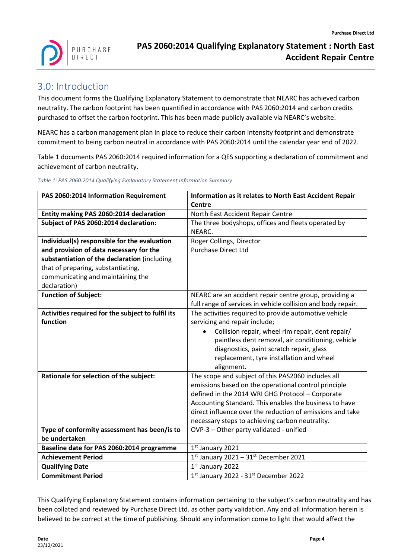

# <span id="page-3-0"></span>3.0: Introduction

This document forms the Qualifying Explanatory Statement to demonstrate that NEARC has achieved carbon neutrality. The carbon footprint has been quantified in accordance with PAS 2060:2014 and carbon credits purchased to offset the carbon footprint. This has been made publicly available via NEARC's website.

NEARC has a carbon management plan in place to reduce their carbon intensity footprint and demonstrate commitment to being carbon neutral in accordance with PAS 2060:2014 until the calendar year end of 2022.

Table 1 documents PAS 2060:2014 required information for a QES supporting a declaration of commitment and achievement of carbon neutrality.

*Table 1: PAS 2060:2014 Qualifying Explanatory Statement Information Summary*

| PAS 2060:2014 Information Requirement             | Information as it relates to North East Accident Repair       |
|---------------------------------------------------|---------------------------------------------------------------|
|                                                   | <b>Centre</b>                                                 |
| Entity making PAS 2060:2014 declaration           | North East Accident Repair Centre                             |
| Subject of PAS 2060:2014 declaration:             | The three bodyshops, offices and fleets operated by           |
|                                                   | NEARC.                                                        |
| Individual(s) responsible for the evaluation      | Roger Collings, Director                                      |
| and provision of data necessary for the           | <b>Purchase Direct Ltd</b>                                    |
| substantiation of the declaration (including      |                                                               |
| that of preparing, substantiating,                |                                                               |
| communicating and maintaining the                 |                                                               |
| declaration)                                      |                                                               |
| <b>Function of Subject:</b>                       | NEARC are an accident repair centre group, providing a        |
|                                                   | full range of services in vehicle collision and body repair.  |
| Activities required for the subject to fulfil its | The activities required to provide automotive vehicle         |
| function                                          | servicing and repair include;                                 |
|                                                   | Collision repair, wheel rim repair, dent repair/<br>$\bullet$ |
|                                                   | paintless dent removal, air conditioning, vehicle             |
|                                                   | diagnostics, paint scratch repair, glass                      |
|                                                   | replacement, tyre installation and wheel                      |
|                                                   | alignment.                                                    |
| Rationale for selection of the subject:           | The scope and subject of this PAS2060 includes all            |
|                                                   | emissions based on the operational control principle          |
|                                                   | defined in the 2014 WRI GHG Protocol - Corporate              |
|                                                   | Accounting Standard. This enables the business to have        |
|                                                   | direct influence over the reduction of emissions and take     |
|                                                   | necessary steps to achieving carbon neutrality.               |
| Type of conformity assessment has been/is to      | OVP-3 - Other party validated - unified                       |
| be undertaken                                     |                                                               |
| Baseline date for PAS 2060:2014 programme         | 1st January 2021                                              |
| <b>Achievement Period</b>                         | $1st$ January 2021 - 31st December 2021                       |
| <b>Qualifying Date</b>                            | 1st January 2022                                              |
| <b>Commitment Period</b>                          | 1st January 2022 - 31st December 2022                         |

This Qualifying Explanatory Statement contains information pertaining to the subject's carbon neutrality and has been collated and reviewed by Purchase Direct Ltd. as other party validation. Any and all information herein is believed to be correct at the time of publishing. Should any information come to light that would affect the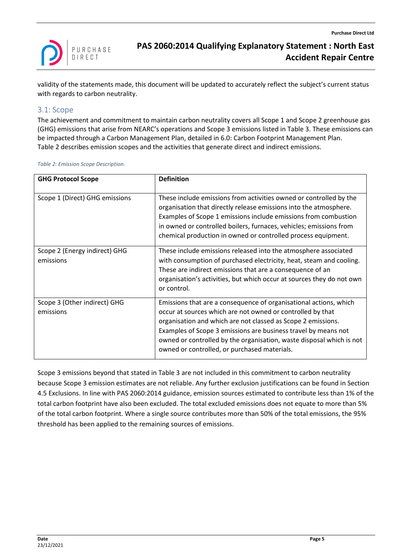

validity of the statements made, this document will be updated to accurately reflect the subject's current status with regards to carbon neutrality.

#### <span id="page-4-0"></span>3.1: Scope

The achievement and commitment to maintain carbon neutrality covers all Scope 1 and Scope 2 greenhouse gas (GHG) emissions that arise from NEARC's operations and Scope 3 emissions listed in [Table 3.](#page-6-3) These emissions can be impacted through a Carbon Management Plan, detailed i[n 6.0: Carbon Footprint Management Plan.](#page-12-0) [Table 2](#page-4-1) describes emission scopes and the activities that generate direct and indirect emissions.

<span id="page-4-1"></span>*Table 2: Emission Scope Description.*

| <b>GHG Protocol Scope</b>                  | <b>Definition</b>                                                                                                                                                                                                                                                                                                                                                                         |
|--------------------------------------------|-------------------------------------------------------------------------------------------------------------------------------------------------------------------------------------------------------------------------------------------------------------------------------------------------------------------------------------------------------------------------------------------|
| Scope 1 (Direct) GHG emissions             | These include emissions from activities owned or controlled by the<br>organisation that directly release emissions into the atmosphere.<br>Examples of Scope 1 emissions include emissions from combustion<br>in owned or controlled boilers, furnaces, vehicles; emissions from<br>chemical production in owned or controlled process equipment.                                         |
| Scope 2 (Energy indirect) GHG<br>emissions | These include emissions released into the atmosphere associated<br>with consumption of purchased electricity, heat, steam and cooling.<br>These are indirect emissions that are a consequence of an<br>organisation's activities, but which occur at sources they do not own<br>or control.                                                                                               |
| Scope 3 (Other indirect) GHG<br>emissions  | Emissions that are a consequence of organisational actions, which<br>occur at sources which are not owned or controlled by that<br>organisation and which are not classed as Scope 2 emissions.<br>Examples of Scope 3 emissions are business travel by means not<br>owned or controlled by the organisation, waste disposal which is not<br>owned or controlled, or purchased materials. |

Scope 3 emissions beyond that stated i[n Table 3](#page-6-3) are not included in this commitment to carbon neutrality because Scope 3 emission estimates are not reliable. Any further exclusion justifications can be found in Section [4.5 Exclusions.](#page-10-0) In line with PAS 2060:2014 guidance, emission sources estimated to contribute less than 1% of the total carbon footprint have also been excluded. The total excluded emissions does not equate to more than 5% of the total carbon footprint. Where a single source contributes more than 50% of the total emissions, the 95% threshold has been applied to the remaining sources of emissions.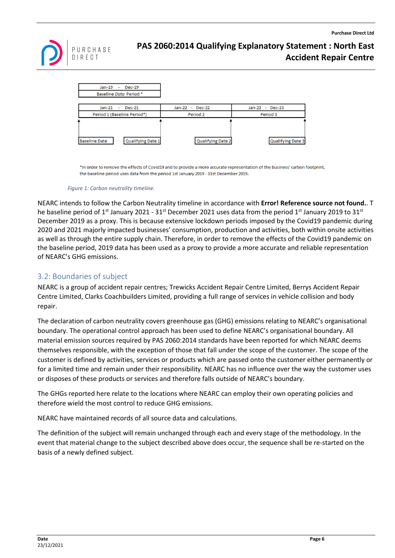



\*In order to remove the effects of Covid19 and to provide a more accurate representation of the business' carbon footprint, the baseline period uses data from the period 1st January 2019 - 31st December 2019.

*Figure 1: Carbon neutrality timeline.*

NEARC intends to follow the Carbon Neutrality timeline in accordance with **Error! Reference source not found.**. T he baseline period of 1<sup>st</sup> January 2021 - 31<sup>st</sup> December 2021 uses data from the period 1<sup>st</sup> January 2019 to 31<sup>st</sup> December 2019 as a proxy. This is because extensive lockdown periods imposed by the Covid19 pandemic during 2020 and 2021 majorly impacted businesses' consumption, production and activities, both within onsite activities as well as through the entire supply chain. Therefore, in order to remove the effects of the Covid19 pandemic on the baseline period, 2019 data has been used as a proxy to provide a more accurate and reliable representation of NEARC's GHG emissions.

### <span id="page-5-0"></span>3.2: Boundaries of subject

NEARC is a group of accident repair centres; Trewicks Accident Repair Centre Limited, Berrys Accident Repair Centre Limited, Clarks Coachbuilders Limited, providing a full range of services in vehicle collision and body repair.

The declaration of carbon neutrality covers greenhouse gas (GHG) emissions relating to NEARC's organisational boundary. The operational control approach has been used to define NEARC's organisational boundary. All material emission sources required by PAS 2060:2014 standards have been reported for which NEARC deems themselves responsible, with the exception of those that fall under the scope of the customer. The scope of the customer is defined by activities, services or products which are passed onto the customer either permanently or for a limited time and remain under their responsibility. NEARC has no influence over the way the customer uses or disposes of these products or services and therefore falls outside of NEARC's boundary.

The GHGs reported here relate to the locations where NEARC can employ their own operating policies and therefore wield the most control to reduce GHG emissions.

NEARC have maintained records of all source data and calculations.

The definition of the subject will remain unchanged through each and every stage of the methodology. In the event that material change to the subject described above does occur, the sequence shall be re-started on the basis of a newly defined subject.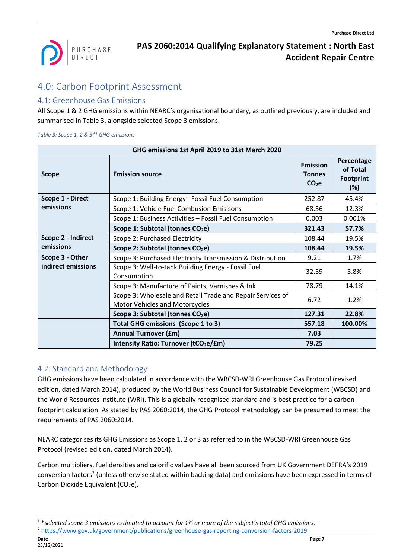

# <span id="page-6-0"></span>4.0: Carbon Footprint Assessment

### <span id="page-6-1"></span>4.1: Greenhouse Gas Emissions

All Scope 1 & 2 GHG emissions within NEARC's organisational boundary, as outlined previously, are included and summarised in [Table 3,](#page-6-3) alongside selected Scope 3 emissions.

<span id="page-6-3"></span>*Table 3: Scope 1, 2 & 3\*<sup>1</sup> GHG emissions*

| GHG emissions 1st April 2019 to 31st March 2020 |                                                                                              |                                                       |                                                   |  |  |
|-------------------------------------------------|----------------------------------------------------------------------------------------------|-------------------------------------------------------|---------------------------------------------------|--|--|
| <b>Scope</b>                                    | <b>Emission source</b>                                                                       | <b>Emission</b><br><b>Tonnes</b><br>CO <sub>2</sub> e | Percentage<br>of Total<br><b>Footprint</b><br>(%) |  |  |
| Scope 1 - Direct                                | Scope 1: Building Energy - Fossil Fuel Consumption                                           | 252.87                                                | 45.4%                                             |  |  |
| emissions                                       | Scope 1: Vehicle Fuel Combusion Emisisons                                                    | 68.56                                                 | 12.3%                                             |  |  |
|                                                 | Scope 1: Business Activities - Fossil Fuel Consumption                                       | 0.003                                                 | 0.001%                                            |  |  |
|                                                 | Scope 1: Subtotal (tonnes CO <sub>2</sub> e)                                                 | 321.43                                                | 57.7%                                             |  |  |
| Scope 2 - Indirect<br>emissions                 | Scope 2: Purchased Electricity                                                               | 108.44                                                | 19.5%                                             |  |  |
|                                                 | Scope 2: Subtotal (tonnes CO <sub>2</sub> e)                                                 | 108.44                                                | 19.5%                                             |  |  |
| Scope 3 - Other                                 | Scope 3: Purchased Electricity Transmission & Distribution                                   | 9.21                                                  | 1.7%                                              |  |  |
| indirect emissions                              | Scope 3: Well-to-tank Building Energy - Fossil Fuel<br>Consumption                           | 32.59                                                 | 5.8%                                              |  |  |
|                                                 | Scope 3: Manufacture of Paints, Varnishes & Ink                                              | 78.79                                                 | 14.1%                                             |  |  |
|                                                 | Scope 3: Wholesale and Retail Trade and Repair Services of<br>Motor Vehicles and Motorcycles | 6.72                                                  | 1.2%                                              |  |  |
|                                                 | Scope 3: Subtotal (tonnes CO <sub>2</sub> e)                                                 | 127.31                                                | 22.8%                                             |  |  |
|                                                 | <b>Total GHG emissions (Scope 1 to 3)</b>                                                    | 557.18                                                | 100.00%                                           |  |  |
|                                                 | <b>Annual Turnover (£m)</b>                                                                  | 7.03                                                  |                                                   |  |  |
|                                                 | Intensity Ratio: Turnover (tCO <sub>2</sub> e/£m)                                            | 79.25                                                 |                                                   |  |  |

### <span id="page-6-2"></span>4.2: Standard and Methodology

GHG emissions have been calculated in accordance with the WBCSD-WRI Greenhouse Gas Protocol (revised edition, dated March 2014), produced by the World Business Council for Sustainable Development (WBCSD) and the World Resources Institute (WRI). This is a globally recognised standard and is best practice for a carbon footprint calculation. As stated by PAS 2060:2014, the GHG Protocol methodology can be presumed to meet the requirements of PAS 2060:2014.

NEARC categorises its GHG Emissions as Scope 1, 2 or 3 as referred to in the WBCSD-WRI Greenhouse Gas Protocol (revised edition, dated March 2014).

Carbon multipliers, fuel densities and calorific values have all been sourced from UK Government DEFRA's 2019 conversion factors<sup>2</sup> (unless otherwise stated within backing data) and emissions have been expressed in terms of Carbon Dioxide Equivalent  $(CO_2e)$ .

<sup>1</sup> \**selected scope 3 emissions estimated to account for 1% or more of the subject's total GHG emissions.*

<sup>2</sup> <https://www.gov.uk/government/publications/greenhouse-gas-reporting-conversion-factors-2019>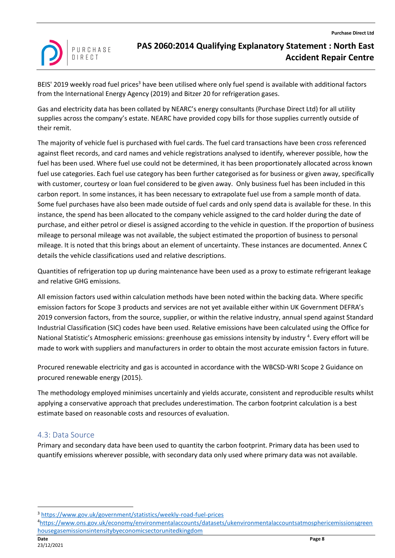

BEIS' 2019 weekly road fuel prices<sup>3</sup> have been utilised where only fuel spend is available with additional factors from the International Energy Agency (2019) and Bitzer 20 for refrigeration gases.

Gas and electricity data has been collated by NEARC's energy consultants (Purchase Direct Ltd) for all utility supplies across the company's estate. NEARC have provided copy bills for those supplies currently outside of their remit.

The majority of vehicle fuel is purchased with fuel cards. The fuel card transactions have been cross referenced against fleet records, and card names and vehicle registrations analysed to identify, wherever possible, how the fuel has been used. Where fuel use could not be determined, it has been proportionately allocated across known fuel use categories. Each fuel use category has been further categorised as for business or given away, specifically with customer, courtesy or loan fuel considered to be given away. Only business fuel has been included in this carbon report. In some instances, it has been necessary to extrapolate fuel use from a sample month of data. Some fuel purchases have also been made outside of fuel cards and only spend data is available for these. In this instance, the spend has been allocated to the company vehicle assigned to the card holder during the date of purchase, and either petrol or diesel is assigned according to the vehicle in question. If the proportion of business mileage to personal mileage was not available, the subject estimated the proportion of business to personal mileage. It is noted that this brings about an element of uncertainty. These instances are documented. Annex C details the vehicle classifications used and relative descriptions.

Quantities of refrigeration top up during maintenance have been used as a proxy to estimate refrigerant leakage and relative GHG emissions.

All emission factors used within calculation methods have been noted within the backing data. Where specific emission factors for Scope 3 products and services are not yet available either within UK Government DEFRA's 2019 conversion factors, from the source, supplier, or within the relative industry, annual spend against Standard Industrial Classification (SIC) codes have been used. Relative emissions have been calculated using the Office for National Statistic's Atmospheric emissions: greenhouse gas emissions intensity by industry<sup>4</sup>. Every effort will be made to work with suppliers and manufacturers in order to obtain the most accurate emission factors in future.

Procured renewable electricity and gas is accounted in accordance with the WBCSD-WRI Scope 2 Guidance on procured renewable energy (2015).

The methodology employed minimises uncertainly and yields accurate, consistent and reproducible results whilst applying a conservative approach that precludes underestimation. The carbon footprint calculation is a best estimate based on reasonable costs and resources of evaluation.

### <span id="page-7-0"></span>4.3: Data Source

Primary and secondary data have been used to quantity the carbon footprint. Primary data has been used to quantify emissions wherever possible, with secondary data only used where primary data was not available.

<sup>3</sup> <https://www.gov.uk/government/statistics/weekly-road-fuel-prices>

<sup>4</sup>[https://www.ons.gov.uk/economy/environmentalaccounts/datasets/ukenvironmentalaccountsatmosphericemissionsgreen](https://www.ons.gov.uk/economy/environmentalaccounts/datasets/ukenvironmentalaccountsatmosphericemissionsgreenhousegasemissionsintensitybyeconomicsectorunitedkingdom) [housegasemissionsintensitybyeconomicsectorunitedkingdom](https://www.ons.gov.uk/economy/environmentalaccounts/datasets/ukenvironmentalaccountsatmosphericemissionsgreenhousegasemissionsintensitybyeconomicsectorunitedkingdom)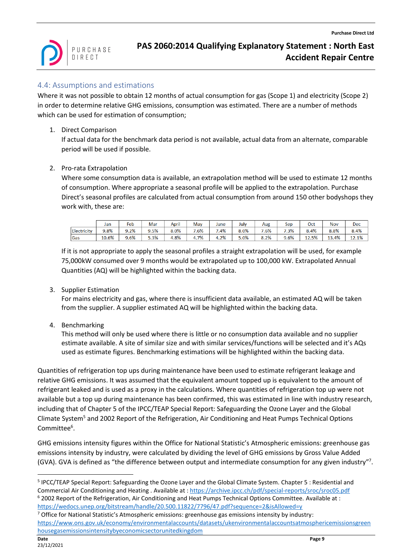

### <span id="page-8-0"></span>4.4: Assumptions and estimations

Where it was not possible to obtain 12 months of actual consumption for gas (Scope 1) and electricity (Scope 2) in order to determine relative GHG emissions, consumption was estimated. There are a number of methods which can be used for estimation of consumption;

1. Direct Comparison

If actual data for the benchmark data period is not available, actual data from an alternate, comparable period will be used if possible.

#### 2. Pro-rata Extrapolation

Where some consumption data is available, an extrapolation method will be used to estimate 12 months of consumption. Where appropriate a seasonal profile will be applied to the extrapolation. Purchase Direct's seasonal profiles are calculated from actual consumption from around 150 other bodyshops they work with, these are:

|             | Jan   | Feb  | Mar  | $\cdots$<br>April | May  | June | July | Aug  | Sep  | Oct   | <b>Nov</b> | Dec   |
|-------------|-------|------|------|-------------------|------|------|------|------|------|-------|------------|-------|
| Electricity | 9.8%  | 9.2% | 9.5% | $8.0\%$           | 7.6% | 7.4% | 8.0% | 7.6% | 7.3% | 8.4%  | 8.8%       | 8.4%  |
| Gas         | 10.6% | 9.6% | 5.3% | 4.8%              | 4.7% | 4.2% | 5.0% | 8.2% | 9.6% | 12.5% | 13.4%      | 12.1% |

If it is not appropriate to apply the seasonal profiles a straight extrapolation will be used, for example 75,000kW consumed over 9 months would be extrapolated up to 100,000 kW. Extrapolated Annual Quantities (AQ) will be highlighted within the backing data.

3. Supplier Estimation

For mains electricity and gas, where there is insufficient data available, an estimated AQ will be taken from the supplier. A supplier estimated AQ will be highlighted within the backing data.

4. Benchmarking

This method will only be used where there is little or no consumption data available and no supplier estimate available. A site of similar size and with similar services/functions will be selected and it's AQs used as estimate figures. Benchmarking estimations will be highlighted within the backing data.

Quantities of refrigeration top ups during maintenance have been used to estimate refrigerant leakage and relative GHG emissions. It was assumed that the equivalent amount topped up is equivalent to the amount of refrigerant leaked and is used as a proxy in the calculations. Where quantities of refrigeration top up were not available but a top up during maintenance has been confirmed, this was estimated in line with industry research, including that of Chapter 5 of the IPCC/TEAP Special Report: Safeguarding the Ozone Layer and the Global Climate System<sup>5</sup> and 2002 Report of the Refrigeration, Air Conditioning and Heat Pumps Technical Options Committee<sup>6</sup>.

GHG emissions intensity figures within the Office for National Statistic's Atmospheric emissions: greenhouse gas emissions intensity by industry, were calculated by dividing the level of GHG emissions by Gross Value Added (GVA). GVA is defined as "the difference between output and intermediate consumption for any given industry"?.

<sup>&</sup>lt;sup>5</sup> IPCC/TEAP Special Report: Safeguarding the Ozone Layer and the Global Climate System. Chapter 5 : Residential and Commercial Air Conditioning and Heating . Available at [: https://archive.ipcc.ch/pdf/special-reports/sroc/sroc05.pdf](https://archive.ipcc.ch/pdf/special-reports/sroc/sroc05.pdf) <sup>6</sup> 2002 Report of the Refrigeration, Air Conditioning and Heat Pumps Technical Options Committee. Available at : <https://wedocs.unep.org/bitstream/handle/20.500.11822/7796/47.pdf?sequence=2&isAllowed=y>

<sup>7</sup> Office for National Statistic's Atmospheric emissions: greenhouse gas emissions intensity by industry: [https://www.ons.gov.uk/economy/environmentalaccounts/datasets/ukenvironmentalaccountsatmosphericemissionsgreen](https://www.ons.gov.uk/economy/environmentalaccounts/datasets/ukenvironmentalaccountsatmosphericemissionsgreenhousegasemissionsintensitybyeconomicsectorunitedkingdom) [housegasemissionsintensitybyeconomicsectorunitedkingdom](https://www.ons.gov.uk/economy/environmentalaccounts/datasets/ukenvironmentalaccountsatmosphericemissionsgreenhousegasemissionsintensitybyeconomicsectorunitedkingdom)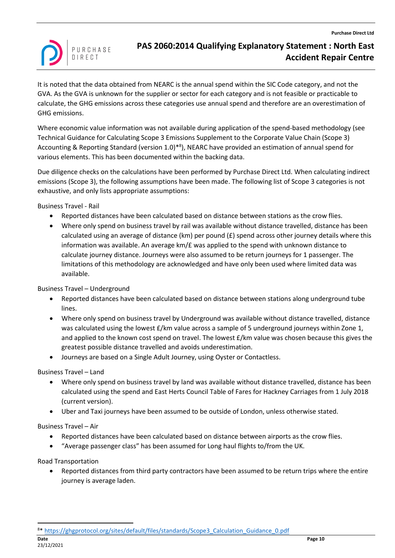

It is noted that the data obtained from NEARC is the annual spend within the SIC Code category, and not the GVA. As the GVA is unknown for the supplier or sector for each category and is not feasible or practicable to calculate, the GHG emissions across these categories use annual spend and therefore are an overestimation of GHG emissions.

Where economic value information was not available during application of the spend-based methodology (see Technical Guidance for Calculating Scope 3 Emissions Supplement to the Corporate Value Chain (Scope 3) Accounting & Reporting Standard (version 1.0)<sup>\*8</sup>), NEARC have provided an estimation of annual spend for various elements. This has been documented within the backing data.

Due diligence checks on the calculations have been performed by Purchase Direct Ltd. When calculating indirect emissions (Scope 3), the following assumptions have been made. The following list of Scope 3 categories is not exhaustive, and only lists appropriate assumptions:

Business Travel - Rail

- Reported distances have been calculated based on distance between stations as the crow flies.
- Where only spend on business travel by rail was available without distance travelled, distance has been calculated using an average of distance (km) per pound  $(E)$  spend across other journey details where this information was available. An average km/£ was applied to the spend with unknown distance to calculate journey distance. Journeys were also assumed to be return journeys for 1 passenger. The limitations of this methodology are acknowledged and have only been used where limited data was available.

Business Travel – Underground

- Reported distances have been calculated based on distance between stations along underground tube lines.
- Where only spend on business travel by Underground was available without distance travelled, distance was calculated using the lowest  $E/km$  value across a sample of 5 underground journeys within Zone 1, and applied to the known cost spend on travel. The lowest £/km value was chosen because this gives the greatest possible distance travelled and avoids underestimation.
- Journeys are based on a Single Adult Journey, using Oyster or Contactless.

Business Travel – Land

- Where only spend on business travel by land was available without distance travelled, distance has been calculated using the spend and East Herts Council Table of Fares for Hackney Carriages from 1 July 2018 (current version).
- Uber and Taxi journeys have been assumed to be outside of London, unless otherwise stated.

Business Travel – Air

- Reported distances have been calculated based on distance between airports as the crow flies.
- "Average passenger class" has been assumed for Long haul flights to/from the UK.

Road Transportation

• Reported distances from third party contractors have been assumed to be return trips where the entire journey is average laden.

<sup>8\*</sup> [https://ghgprotocol.org/sites/default/files/standards/Scope3\\_Calculation\\_Guidance\\_0.pdf](https://ghgprotocol.org/sites/default/files/standards/Scope3_Calculation_Guidance_0.pdf)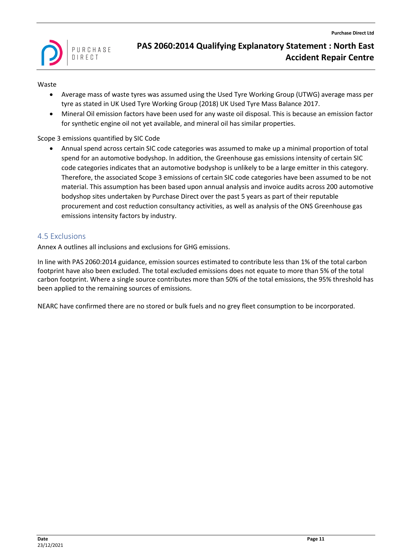

#### Waste

- Average mass of waste tyres was assumed using the Used Tyre Working Group (UTWG) average mass per tyre as stated in UK Used Tyre Working Group (2018) UK Used Tyre Mass Balance 2017.
- Mineral Oil emission factors have been used for any waste oil disposal. This is because an emission factor for synthetic engine oil not yet available, and mineral oil has similar properties.

#### Scope 3 emissions quantified by SIC Code

• Annual spend across certain SIC code categories was assumed to make up a minimal proportion of total spend for an automotive bodyshop. In addition, the Greenhouse gas emissions intensity of certain SIC code categories indicates that an automotive bodyshop is unlikely to be a large emitter in this category. Therefore, the associated Scope 3 emissions of certain SIC code categories have been assumed to be not material. This assumption has been based upon annual analysis and invoice audits across 200 automotive bodyshop sites undertaken by Purchase Direct over the past 5 years as part of their reputable procurement and cost reduction consultancy activities, as well as analysis of the ONS Greenhouse gas emissions intensity factors by industry.

### <span id="page-10-0"></span>4.5 Exclusions

Annex A outlines all inclusions and exclusions for GHG emissions.

In line with PAS 2060:2014 guidance, emission sources estimated to contribute less than 1% of the total carbon footprint have also been excluded. The total excluded emissions does not equate to more than 5% of the total carbon footprint. Where a single source contributes more than 50% of the total emissions, the 95% threshold has been applied to the remaining sources of emissions.

NEARC have confirmed there are no stored or bulk fuels and no grey fleet consumption to be incorporated.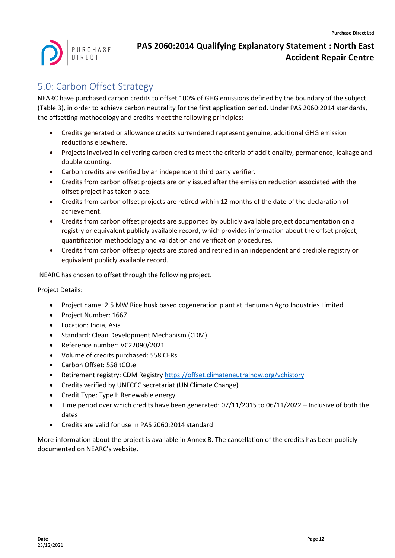

# <span id="page-11-0"></span>5.0: Carbon Offset Strategy

NEARC have purchased carbon credits to offset 100% of GHG emissions defined by the boundary of the subject [\(Table 3\)](#page-6-3), in order to achieve carbon neutrality for the first application period. Under PAS 2060:2014 standards, the offsetting methodology and credits meet the following principles:

- Credits generated or allowance credits surrendered represent genuine, additional GHG emission reductions elsewhere.
- Projects involved in delivering carbon credits meet the criteria of additionality, permanence, leakage and double counting.
- Carbon credits are verified by an independent third party verifier.
- Credits from carbon offset projects are only issued after the emission reduction associated with the offset project has taken place.
- Credits from carbon offset projects are retired within 12 months of the date of the declaration of achievement.
- Credits from carbon offset projects are supported by publicly available project documentation on a registry or equivalent publicly available record, which provides information about the offset project, quantification methodology and validation and verification procedures.
- Credits from carbon offset projects are stored and retired in an independent and credible registry or equivalent publicly available record.

NEARC has chosen to offset through the following project.

Project Details:

- Project name: 2.5 MW Rice husk based cogeneration plant at Hanuman Agro Industries Limited
- Project Number: 1667
- Location: India, Asia
- Standard: Clean Development Mechanism (CDM)
- Reference number: VC22090/2021
- Volume of credits purchased: 558 CERs
- Carbon Offset:  $558$  tCO<sub>2</sub>e
- Retirement registry: CDM Registry<https://offset.climateneutralnow.org/vchistory>
- Credits verified by UNFCCC secretariat (UN Climate Change)
- Credit Type: Type I: Renewable energy
- Time period over which credits have been generated: 07/11/2015 to 06/11/2022 Inclusive of both the dates
- Credits are valid for use in PAS 2060:2014 standard

More information about the project is available in Annex B. The cancellation of the credits has been publicly documented on NEARC's website.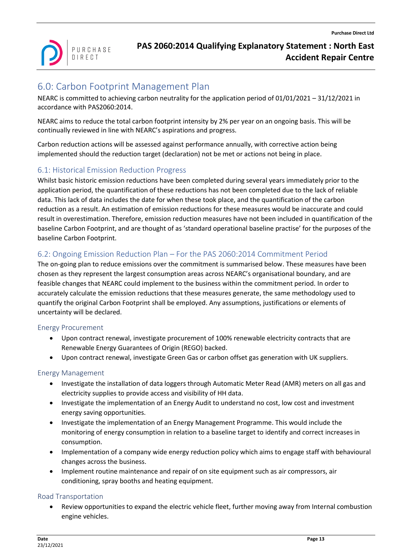

# <span id="page-12-0"></span>6.0: Carbon Footprint Management Plan

NEARC is committed to achieving carbon neutrality for the application period of 01/01/2021 – 31/12/2021 in accordance with PAS2060:2014.

NEARC aims to reduce the total carbon footprint intensity by 2% per year on an ongoing basis. This will be continually reviewed in line with NEARC's aspirations and progress.

Carbon reduction actions will be assessed against performance annually, with corrective action being implemented should the reduction target (declaration) not be met or actions not being in place.

### <span id="page-12-1"></span>6.1: Historical Emission Reduction Progress

Whilst basic historic emission reductions have been completed during several years immediately prior to the application period, the quantification of these reductions has not been completed due to the lack of reliable data. This lack of data includes the date for when these took place, and the quantification of the carbon reduction as a result. An estimation of emission reductions for these measures would be inaccurate and could result in overestimation. Therefore, emission reduction measures have not been included in quantification of the baseline Carbon Footprint, and are thought of as 'standard operational baseline practise' for the purposes of the baseline Carbon Footprint.

### <span id="page-12-2"></span>6.2: Ongoing Emission Reduction Plan – For the PAS 2060:2014 Commitment Period

The on-going plan to reduce emissions over the commitment is summarised below. These measures have been chosen as they represent the largest consumption areas across NEARC's organisational boundary, and are feasible changes that NEARC could implement to the business within the commitment period. In order to accurately calculate the emission reductions that these measures generate, the same methodology used to quantify the original Carbon Footprint shall be employed. Any assumptions, justifications or elements of uncertainty will be declared.

### <span id="page-12-3"></span>Energy Procurement

- Upon contract renewal, investigate procurement of 100% renewable electricity contracts that are Renewable Energy Guarantees of Origin (REGO) backed.
- Upon contract renewal, investigate Green Gas or carbon offset gas generation with UK suppliers.

### <span id="page-12-4"></span>Energy Management

- Investigate the installation of data loggers through Automatic Meter Read (AMR) meters on all gas and electricity supplies to provide access and visibility of HH data.
- Investigate the implementation of an Energy Audit to understand no cost, low cost and investment energy saving opportunities.
- Investigate the implementation of an Energy Management Programme. This would include the monitoring of energy consumption in relation to a baseline target to identify and correct increases in consumption.
- Implementation of a company wide energy reduction policy which aims to engage staff with behavioural changes across the business.
- Implement routine maintenance and repair of on site equipment such as air compressors, air conditioning, spray booths and heating equipment.

#### <span id="page-12-5"></span>Road Transportation

• Review opportunities to expand the electric vehicle fleet, further moving away from Internal combustion engine vehicles.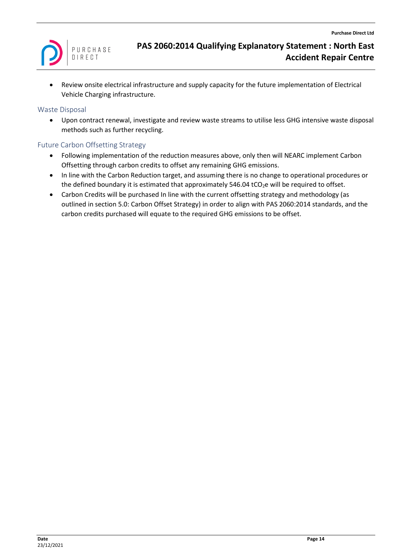

• Review onsite electrical infrastructure and supply capacity for the future implementation of Electrical Vehicle Charging infrastructure.

#### <span id="page-13-0"></span>Waste Disposal

• Upon contract renewal, investigate and review waste streams to utilise less GHG intensive waste disposal methods such as further recycling.

#### <span id="page-13-1"></span>Future Carbon Offsetting Strategy

- Following implementation of the reduction measures above, only then will NEARC implement Carbon Offsetting through carbon credits to offset any remaining GHG emissions.
- In line with the Carbon Reduction target, and assuming there is no change to operational procedures or the defined boundary it is estimated that approximately 546.04 tCO<sub>2</sub>e will be required to offset.
- Carbon Credits will be purchased In line with the current offsetting strategy and methodology (as outlined in section [5.0: Carbon Offset Strategy\)](#page-11-0) in order to align with PAS 2060:2014 standards, and the carbon credits purchased will equate to the required GHG emissions to be offset.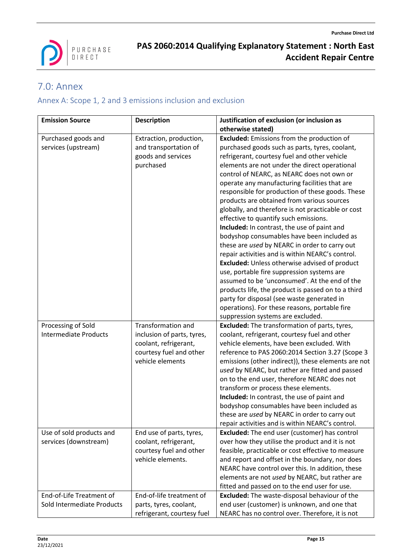

# <span id="page-14-0"></span>7.0: Annex

# <span id="page-14-1"></span>Annex A: Scope 1, 2 and 3 emissions inclusion and exclusion

| <b>Emission Source</b>       | <b>Description</b>         | Justification of exclusion (or inclusion as          |
|------------------------------|----------------------------|------------------------------------------------------|
|                              |                            | otherwise stated)                                    |
| Purchased goods and          | Extraction, production,    | <b>Excluded:</b> Emissions from the production of    |
| services (upstream)          | and transportation of      | purchased goods such as parts, tyres, coolant,       |
|                              | goods and services         | refrigerant, courtesy fuel and other vehicle         |
|                              | purchased                  | elements are not under the direct operational        |
|                              |                            | control of NEARC, as NEARC does not own or           |
|                              |                            | operate any manufacturing facilities that are        |
|                              |                            | responsible for production of these goods. These     |
|                              |                            | products are obtained from various sources           |
|                              |                            | globally, and therefore is not practicable or cost   |
|                              |                            | effective to quantify such emissions.                |
|                              |                            | Included: In contrast, the use of paint and          |
|                              |                            | bodyshop consumables have been included as           |
|                              |                            | these are used by NEARC in order to carry out        |
|                              |                            | repair activities and is within NEARC's control.     |
|                              |                            | <b>Excluded:</b> Unless otherwise advised of product |
|                              |                            | use, portable fire suppression systems are           |
|                              |                            | assumed to be 'unconsumed'. At the end of the        |
|                              |                            | products life, the product is passed on to a third   |
|                              |                            | party for disposal (see waste generated in           |
|                              |                            | operations). For these reasons, portable fire        |
|                              |                            | suppression systems are excluded.                    |
| Processing of Sold           | <b>Transformation and</b>  | <b>Excluded:</b> The transformation of parts, tyres, |
| <b>Intermediate Products</b> | inclusion of parts, tyres, | coolant, refrigerant, courtesy fuel and other        |
|                              | coolant, refrigerant,      | vehicle elements, have been excluded. With           |
|                              | courtesy fuel and other    | reference to PAS 2060:2014 Section 3.27 (Scope 3     |
|                              | vehicle elements           | emissions (other indirect)), these elements are not  |
|                              |                            | used by NEARC, but rather are fitted and passed      |
|                              |                            | on to the end user, therefore NEARC does not         |
|                              |                            | transform or process these elements.                 |
|                              |                            | Included: In contrast, the use of paint and          |
|                              |                            | bodyshop consumables have been included as           |
|                              |                            | these are used by NEARC in order to carry out        |
|                              |                            | repair activities and is within NEARC's control.     |
| Use of sold products and     | End use of parts, tyres,   | <b>Excluded:</b> The end user (customer) has control |
| services (downstream)        | coolant, refrigerant,      | over how they utilise the product and it is not      |
|                              | courtesy fuel and other    | feasible, practicable or cost effective to measure   |
|                              | vehicle elements.          | and report and offset in the boundary, nor does      |
|                              |                            | NEARC have control over this. In addition, these     |
|                              |                            | elements are not used by NEARC, but rather are       |
|                              |                            | fitted and passed on to the end user for use.        |
| End-of-Life Treatment of     | End-of-life treatment of   | <b>Excluded:</b> The waste-disposal behaviour of the |
| Sold Intermediate Products   | parts, tyres, coolant,     | end user (customer) is unknown, and one that         |
|                              | refrigerant, courtesy fuel | NEARC has no control over. Therefore, it is not      |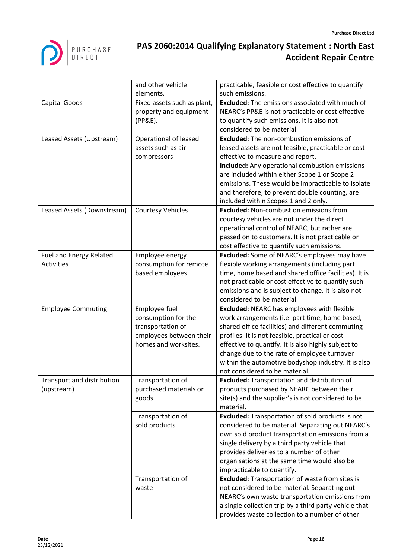

|                            | and other vehicle           | practicable, feasible or cost effective to quantify     |
|----------------------------|-----------------------------|---------------------------------------------------------|
|                            | elements.                   | such emissions.                                         |
| Capital Goods              | Fixed assets such as plant, | <b>Excluded:</b> The emissions associated with much of  |
|                            | property and equipment      | NEARC's PP&E is not practicable or cost effective       |
|                            | (PP&E).                     | to quantify such emissions. It is also not              |
|                            |                             | considered to be material.                              |
| Leased Assets (Upstream)   | Operational of leased       | Excluded: The non-combustion emissions of               |
|                            | assets such as air          | leased assets are not feasible, practicable or cost     |
|                            | compressors                 | effective to measure and report.                        |
|                            |                             | <b>Included:</b> Any operational combustion emissions   |
|                            |                             | are included within either Scope 1 or Scope 2           |
|                            |                             | emissions. These would be impracticable to isolate      |
|                            |                             | and therefore, to prevent double counting, are          |
|                            |                             | included within Scopes 1 and 2 only.                    |
| Leased Assets (Downstream) | <b>Courtesy Vehicles</b>    | <b>Excluded: Non-combustion emissions from</b>          |
|                            |                             | courtesy vehicles are not under the direct              |
|                            |                             | operational control of NEARC, but rather are            |
|                            |                             | passed on to customers. It is not practicable or        |
|                            |                             | cost effective to quantify such emissions.              |
| Fuel and Energy Related    | Employee energy             | <b>Excluded:</b> Some of NEARC's employees may have     |
| <b>Activities</b>          | consumption for remote      | flexible working arrangements (including part           |
|                            | based employees             | time, home based and shared office facilities). It is   |
|                            |                             | not practicable or cost effective to quantify such      |
|                            |                             | emissions and is subject to change. It is also not      |
|                            |                             | considered to be material.                              |
| <b>Employee Commuting</b>  | Employee fuel               | <b>Excluded: NEARC has employees with flexible</b>      |
|                            | consumption for the         | work arrangements (i.e. part time, home based,          |
|                            | transportation of           | shared office facilities) and different commuting       |
|                            | employees between their     | profiles. It is not feasible, practical or cost         |
|                            | homes and worksites.        | effective to quantify. It is also highly subject to     |
|                            |                             | change due to the rate of employee turnover             |
|                            |                             | within the automotive bodyshop industry. It is also     |
|                            |                             | not considered to be material.                          |
| Transport and distribution | Transportation of           | <b>Excluded:</b> Transportation and distribution of     |
| (upstream)                 | purchased materials or      | products purchased by NEARC between their               |
|                            | goods                       | site(s) and the supplier's is not considered to be      |
|                            |                             | material.                                               |
|                            | Transportation of           | <b>Excluded:</b> Transportation of sold products is not |
|                            | sold products               | considered to be material. Separating out NEARC's       |
|                            |                             | own sold product transportation emissions from a        |
|                            |                             | single delivery by a third party vehicle that           |
|                            |                             | provides deliveries to a number of other                |
|                            |                             | organisations at the same time would also be            |
|                            |                             | impracticable to quantify.                              |
|                            | Transportation of           | <b>Excluded:</b> Transportation of waste from sites is  |
|                            | waste                       | not considered to be material. Separating out           |
|                            |                             | NEARC's own waste transportation emissions from         |
|                            |                             | a single collection trip by a third party vehicle that  |
|                            |                             | provides waste collection to a number of other          |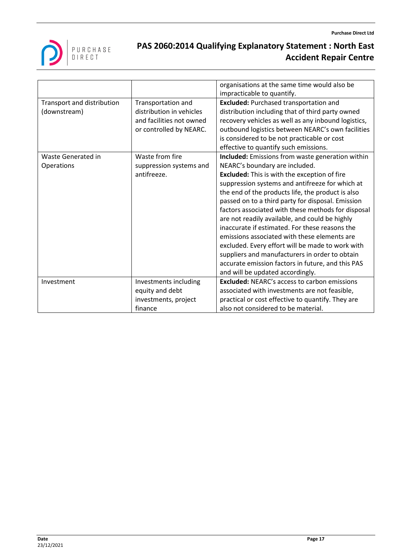

|                            |                          | organisations at the same time would also be        |
|----------------------------|--------------------------|-----------------------------------------------------|
|                            |                          | impracticable to quantify.                          |
| Transport and distribution | Transportation and       | <b>Excluded: Purchased transportation and</b>       |
| (downstream)               | distribution in vehicles | distribution including that of third party owned    |
|                            | and facilities not owned | recovery vehicles as well as any inbound logistics, |
|                            | or controlled by NEARC.  | outbound logistics between NEARC's own facilities   |
|                            |                          | is considered to be not practicable or cost         |
|                            |                          | effective to quantify such emissions.               |
| <b>Waste Generated in</b>  | Waste from fire          | Included: Emissions from waste generation within    |
| Operations                 | suppression systems and  | NEARC's boundary are included.                      |
|                            | antifreeze.              | <b>Excluded:</b> This is with the exception of fire |
|                            |                          | suppression systems and antifreeze for which at     |
|                            |                          | the end of the products life, the product is also   |
|                            |                          | passed on to a third party for disposal. Emission   |
|                            |                          | factors associated with these methods for disposal  |
|                            |                          | are not readily available, and could be highly      |
|                            |                          | inaccurate if estimated. For these reasons the      |
|                            |                          | emissions associated with these elements are        |
|                            |                          | excluded. Every effort will be made to work with    |
|                            |                          | suppliers and manufacturers in order to obtain      |
|                            |                          | accurate emission factors in future, and this PAS   |
|                            |                          | and will be updated accordingly.                    |
| Investment                 | Investments including    | <b>Excluded: NEARC's access to carbon emissions</b> |
|                            | equity and debt          | associated with investments are not feasible,       |
|                            | investments, project     | practical or cost effective to quantify. They are   |
|                            | finance                  | also not considered to be material.                 |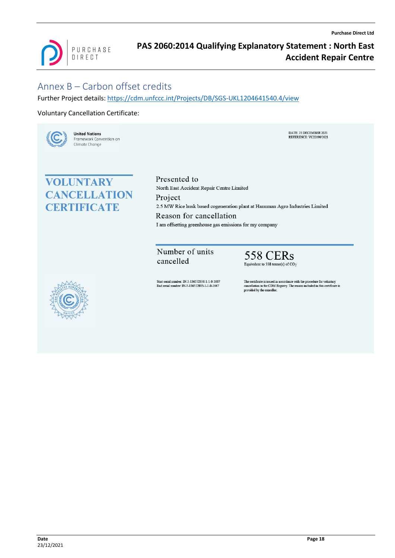

# <span id="page-17-0"></span>Annex B – Carbon offset credits

Further Project details:<https://cdm.unfccc.int/Projects/DB/SGS-UKL1204641540.4/view>

#### Voluntary Cancellation Certificate:



**United Nations** Framework Convention on Climate Change

#### DATE: 23 DECEMBER 2021 REEERENCE: VC22090/2021

# **VOLUNTARY CANCELLATION CERTIFICATE**

Presented to North East Accident Repair Centre Limited Project 2.5 MW Rice husk based cogeneration plant at Hanuman Agro Industries Limited Reason for cancellation I am offsetting greenhouse gas emissions for my company

Number of units cancelled

**558 CERs** Equivalent to 558 tonne(s) of  $CO<sub>2</sub>$ 



Start serial number: IN-5-136572338-1-1-0-1667 End serial number: IN-5-136572895-1-1-0-1667

The certificate is issued in accordance with the procedure for voluntary cancellation in the CDM Registry. The reason included in this certificate is provided by the cancellor.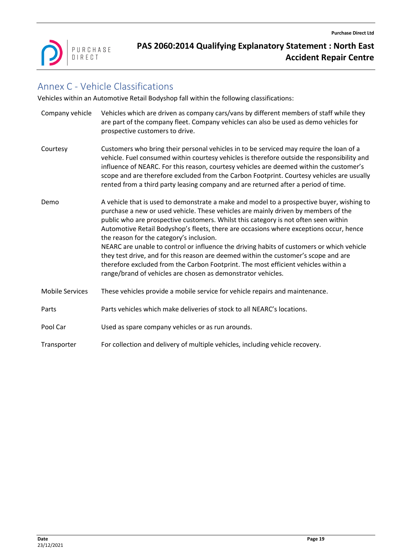

# <span id="page-18-0"></span>Annex C - Vehicle Classifications

Vehicles within an Automotive Retail Bodyshop fall within the following classifications:

| Company vehicle        | Vehicles which are driven as company cars/vans by different members of staff while they<br>are part of the company fleet. Company vehicles can also be used as demo vehicles for<br>prospective customers to drive.                                                                                                                                                                                                                                                                                                                                                                                                                                                                                                                                    |
|------------------------|--------------------------------------------------------------------------------------------------------------------------------------------------------------------------------------------------------------------------------------------------------------------------------------------------------------------------------------------------------------------------------------------------------------------------------------------------------------------------------------------------------------------------------------------------------------------------------------------------------------------------------------------------------------------------------------------------------------------------------------------------------|
| Courtesy               | Customers who bring their personal vehicles in to be serviced may require the loan of a<br>vehicle. Fuel consumed within courtesy vehicles is therefore outside the responsibility and<br>influence of NEARC. For this reason, courtesy vehicles are deemed within the customer's<br>scope and are therefore excluded from the Carbon Footprint. Courtesy vehicles are usually<br>rented from a third party leasing company and are returned after a period of time.                                                                                                                                                                                                                                                                                   |
| Demo                   | A vehicle that is used to demonstrate a make and model to a prospective buyer, wishing to<br>purchase a new or used vehicle. These vehicles are mainly driven by members of the<br>public who are prospective customers. Whilst this category is not often seen within<br>Automotive Retail Bodyshop's fleets, there are occasions where exceptions occur, hence<br>the reason for the category's inclusion.<br>NEARC are unable to control or influence the driving habits of customers or which vehicle<br>they test drive, and for this reason are deemed within the customer's scope and are<br>therefore excluded from the Carbon Footprint. The most efficient vehicles within a<br>range/brand of vehicles are chosen as demonstrator vehicles. |
| <b>Mobile Services</b> | These vehicles provide a mobile service for vehicle repairs and maintenance.                                                                                                                                                                                                                                                                                                                                                                                                                                                                                                                                                                                                                                                                           |
| Parts                  | Parts vehicles which make deliveries of stock to all NEARC's locations.                                                                                                                                                                                                                                                                                                                                                                                                                                                                                                                                                                                                                                                                                |
| Pool Car               | Used as spare company vehicles or as run arounds.                                                                                                                                                                                                                                                                                                                                                                                                                                                                                                                                                                                                                                                                                                      |
| Transporter            | For collection and delivery of multiple vehicles, including vehicle recovery.                                                                                                                                                                                                                                                                                                                                                                                                                                                                                                                                                                                                                                                                          |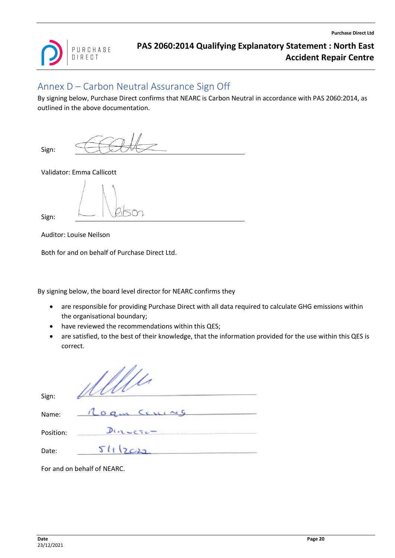

# <span id="page-19-0"></span>Annex D – Carbon Neutral Assurance Sign Off

By signing below, Purchase Direct confirms that NEARC is Carbon Neutral in accordance with PAS 2060:2014, as outlined in the above documentation.

Sign:

Validator: Emma Callicott

Sign:

Auditor: Louise Neilson

Both for and on behalf of Purchase Direct Ltd.

By signing below, the board level director for NEARC confirms they

- are responsible for providing Purchase Direct with all data required to calculate GHG emissions within the organisational boundary;
- have reviewed the recommendations within this QES;
- are satisfied, to the best of their knowledge, that the information provided for the use within this QES is correct.

| Sign:     |             |
|-----------|-------------|
| Name:     | Rogin Cours |
| Position: | $Duncerc-$  |
| Date:     | 51112022    |

For and on behalf of NEARC.